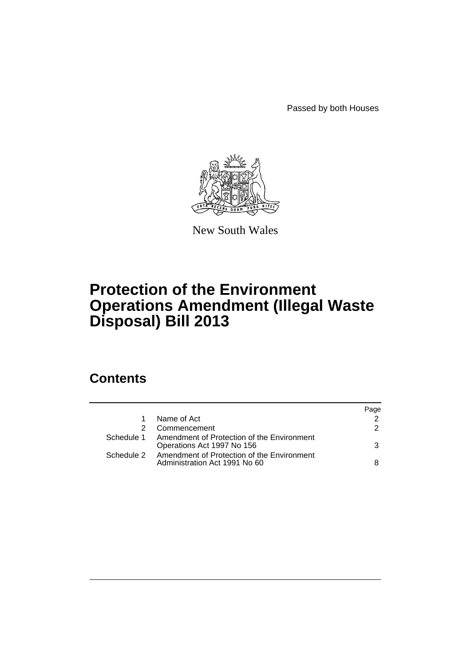Passed by both Houses



New South Wales

# **Protection of the Environment Operations Amendment (Illegal Waste Disposal) Bill 2013**

## **Contents**

|            |                                                                                        | Page          |
|------------|----------------------------------------------------------------------------------------|---------------|
|            | Name of Act                                                                            | $\mathcal{P}$ |
|            | Commencement                                                                           | $\mathcal{P}$ |
| Schedule 1 | Amendment of Protection of the Environment<br>Operations Act 1997 No 156               | 3             |
|            | Schedule 2 Amendment of Protection of the Environment<br>Administration Act 1991 No 60 | 8             |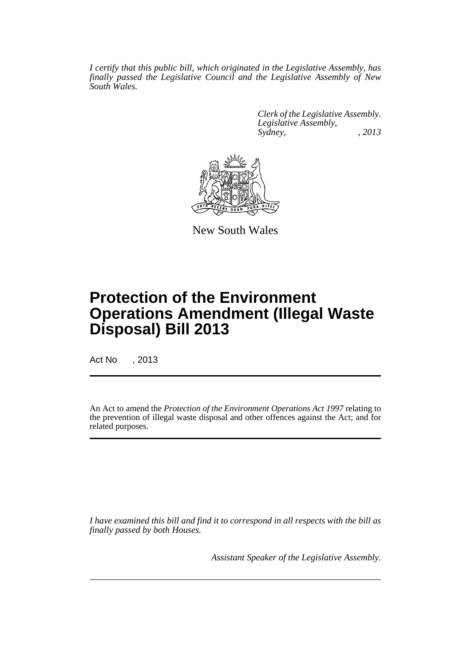*I certify that this public bill, which originated in the Legislative Assembly, has finally passed the Legislative Council and the Legislative Assembly of New South Wales.*

> *Clerk of the Legislative Assembly. Legislative Assembly, Sydney, , 2013*



New South Wales

# **Protection of the Environment Operations Amendment (Illegal Waste Disposal) Bill 2013**

Act No , 2013

An Act to amend the *Protection of the Environment Operations Act 1997* relating to the prevention of illegal waste disposal and other offences against the Act; and for related purposes.

*I have examined this bill and find it to correspond in all respects with the bill as finally passed by both Houses.*

*Assistant Speaker of the Legislative Assembly.*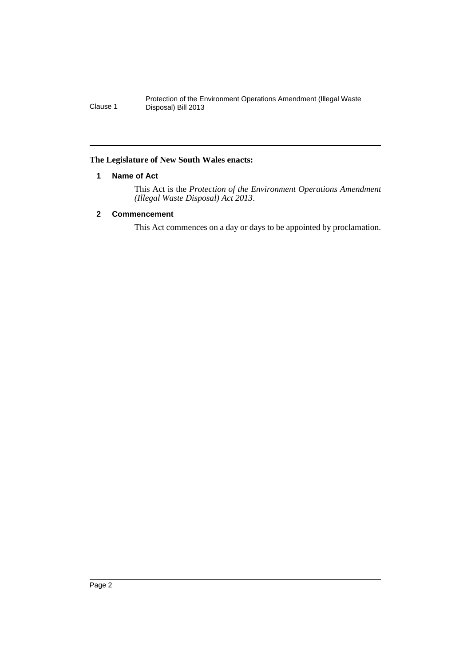#### <span id="page-3-0"></span>**The Legislature of New South Wales enacts:**

#### **1 Name of Act**

This Act is the *Protection of the Environment Operations Amendment (Illegal Waste Disposal) Act 2013*.

#### <span id="page-3-1"></span>**2 Commencement**

This Act commences on a day or days to be appointed by proclamation.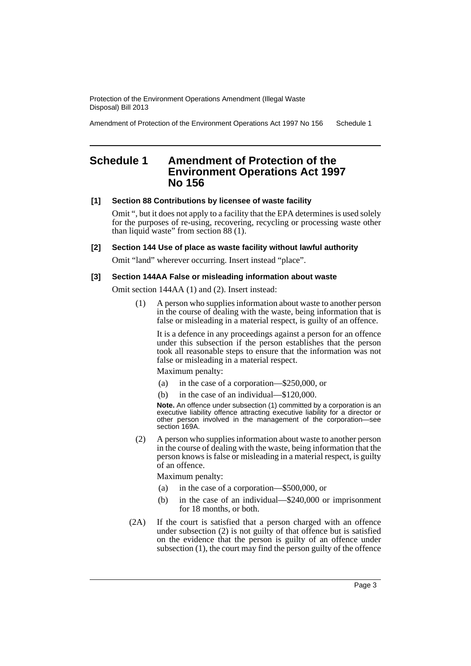Amendment of Protection of the Environment Operations Act 1997 No 156 Schedule 1

## <span id="page-4-0"></span>**Schedule 1 Amendment of Protection of the Environment Operations Act 1997 No 156**

#### **[1] Section 88 Contributions by licensee of waste facility**

Omit ", but it does not apply to a facility that the EPA determines is used solely for the purposes of re-using, recovering, recycling or processing waste other than liquid waste" from section 88 (1).

#### **[2] Section 144 Use of place as waste facility without lawful authority**

Omit "land" wherever occurring. Insert instead "place".

#### **[3] Section 144AA False or misleading information about waste**

Omit section 144AA (1) and (2). Insert instead:

(1) A person who supplies information about waste to another person in the course of dealing with the waste, being information that is false or misleading in a material respect, is guilty of an offence.

It is a defence in any proceedings against a person for an offence under this subsection if the person establishes that the person took all reasonable steps to ensure that the information was not false or misleading in a material respect.

Maximum penalty:

- (a) in the case of a corporation—\$250,000, or
- (b) in the case of an individual—\$120,000.

**Note.** An offence under subsection (1) committed by a corporation is an executive liability offence attracting executive liability for a director or other person involved in the management of the corporation—see section 169A.

(2) A person who supplies information about waste to another person in the course of dealing with the waste, being information that the person knows is false or misleading in a material respect, is guilty of an offence.

Maximum penalty:

- (a) in the case of a corporation—\$500,000, or
- (b) in the case of an individual—\$240,000 or imprisonment for 18 months, or both.
- (2A) If the court is satisfied that a person charged with an offence under subsection  $(2)$  is not guilty of that offence but is satisfied on the evidence that the person is guilty of an offence under subsection (1), the court may find the person guilty of the offence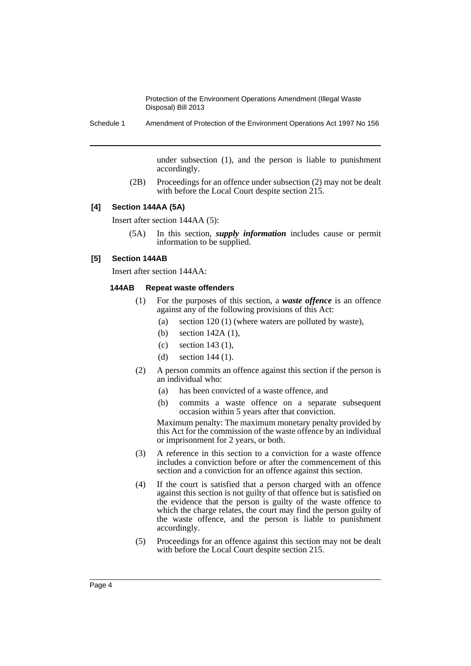Schedule 1 Amendment of Protection of the Environment Operations Act 1997 No 156

under subsection (1), and the person is liable to punishment accordingly.

(2B) Proceedings for an offence under subsection (2) may not be dealt with before the Local Court despite section 215.

#### **[4] Section 144AA (5A)**

Insert after section 144AA (5):

(5A) In this section, *supply information* includes cause or permit information to be supplied.

#### **[5] Section 144AB**

Insert after section 144AA:

#### **144AB Repeat waste offenders**

- (1) For the purposes of this section, a *waste offence* is an offence against any of the following provisions of this Act:
	- (a) section 120 (1) (where waters are polluted by waste),
	- (b) section 142A (1),
	- (c) section 143 (1),
	- (d) section 144 (1).
- (2) A person commits an offence against this section if the person is an individual who:
	- (a) has been convicted of a waste offence, and
	- (b) commits a waste offence on a separate subsequent occasion within 5 years after that conviction.

Maximum penalty: The maximum monetary penalty provided by this Act for the commission of the waste offence by an individual or imprisonment for 2 years, or both.

- (3) A reference in this section to a conviction for a waste offence includes a conviction before or after the commencement of this section and a conviction for an offence against this section.
- (4) If the court is satisfied that a person charged with an offence against this section is not guilty of that offence but is satisfied on the evidence that the person is guilty of the waste offence to which the charge relates, the court may find the person guilty of the waste offence, and the person is liable to punishment accordingly.
- (5) Proceedings for an offence against this section may not be dealt with before the Local Court despite section 215.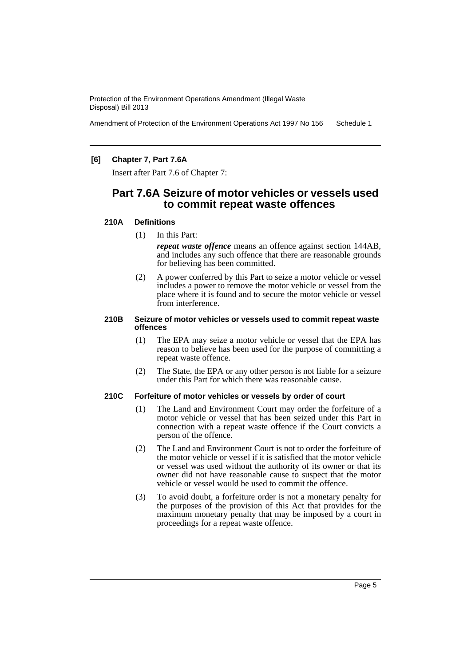Amendment of Protection of the Environment Operations Act 1997 No 156 Schedule 1

#### **[6] Chapter 7, Part 7.6A**

Insert after Part 7.6 of Chapter 7:

### **Part 7.6A Seizure of motor vehicles or vessels used to commit repeat waste offences**

#### **210A Definitions**

(1) In this Part:

*repeat waste offence* means an offence against section 144AB, and includes any such offence that there are reasonable grounds for believing has been committed.

(2) A power conferred by this Part to seize a motor vehicle or vessel includes a power to remove the motor vehicle or vessel from the place where it is found and to secure the motor vehicle or vessel from interference.

#### **210B Seizure of motor vehicles or vessels used to commit repeat waste offences**

- (1) The EPA may seize a motor vehicle or vessel that the EPA has reason to believe has been used for the purpose of committing a repeat waste offence.
- (2) The State, the EPA or any other person is not liable for a seizure under this Part for which there was reasonable cause.

#### **210C Forfeiture of motor vehicles or vessels by order of court**

- (1) The Land and Environment Court may order the forfeiture of a motor vehicle or vessel that has been seized under this Part in connection with a repeat waste offence if the Court convicts a person of the offence.
- (2) The Land and Environment Court is not to order the forfeiture of the motor vehicle or vessel if it is satisfied that the motor vehicle or vessel was used without the authority of its owner or that its owner did not have reasonable cause to suspect that the motor vehicle or vessel would be used to commit the offence.
- (3) To avoid doubt, a forfeiture order is not a monetary penalty for the purposes of the provision of this Act that provides for the maximum monetary penalty that may be imposed by a court in proceedings for a repeat waste offence.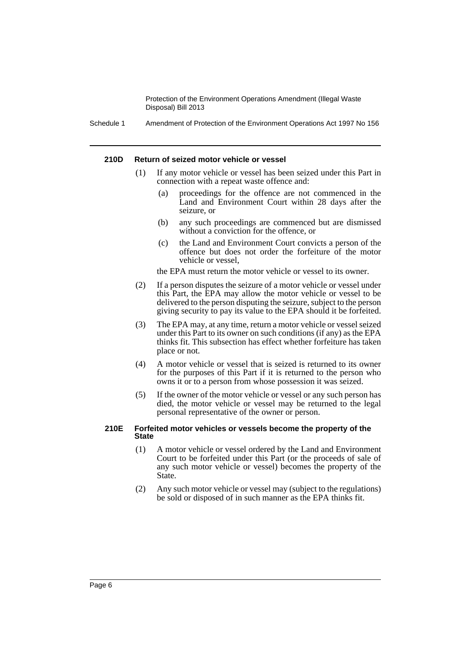Schedule 1 Amendment of Protection of the Environment Operations Act 1997 No 156

#### **210D Return of seized motor vehicle or vessel**

- (1) If any motor vehicle or vessel has been seized under this Part in connection with a repeat waste offence and:
	- (a) proceedings for the offence are not commenced in the Land and Environment Court within 28 days after the seizure, or
	- (b) any such proceedings are commenced but are dismissed without a conviction for the offence, or
	- (c) the Land and Environment Court convicts a person of the offence but does not order the forfeiture of the motor vehicle or vessel,

the EPA must return the motor vehicle or vessel to its owner.

- (2) If a person disputes the seizure of a motor vehicle or vessel under this Part, the EPA may allow the motor vehicle or vessel to be delivered to the person disputing the seizure, subject to the person giving security to pay its value to the EPA should it be forfeited.
- (3) The EPA may, at any time, return a motor vehicle or vessel seized under this Part to its owner on such conditions (if any) as the EPA thinks fit. This subsection has effect whether forfeiture has taken place or not.
- (4) A motor vehicle or vessel that is seized is returned to its owner for the purposes of this Part if it is returned to the person who owns it or to a person from whose possession it was seized.
- (5) If the owner of the motor vehicle or vessel or any such person has died, the motor vehicle or vessel may be returned to the legal personal representative of the owner or person.

#### **210E Forfeited motor vehicles or vessels become the property of the State**

- (1) A motor vehicle or vessel ordered by the Land and Environment Court to be forfeited under this Part (or the proceeds of sale of any such motor vehicle or vessel) becomes the property of the State.
- (2) Any such motor vehicle or vessel may (subject to the regulations) be sold or disposed of in such manner as the EPA thinks fit.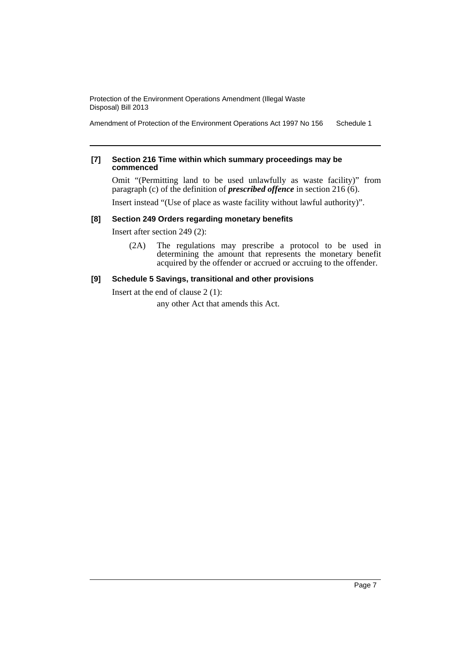Amendment of Protection of the Environment Operations Act 1997 No 156 Schedule 1

#### **[7] Section 216 Time within which summary proceedings may be commenced**

Omit "(Permitting land to be used unlawfully as waste facility)" from paragraph (c) of the definition of *prescribed offence* in section 216 (6).

Insert instead "(Use of place as waste facility without lawful authority)".

#### **[8] Section 249 Orders regarding monetary benefits**

Insert after section 249 (2):

(2A) The regulations may prescribe a protocol to be used in determining the amount that represents the monetary benefit acquired by the offender or accrued or accruing to the offender.

#### **[9] Schedule 5 Savings, transitional and other provisions**

Insert at the end of clause 2 (1):

any other Act that amends this Act.